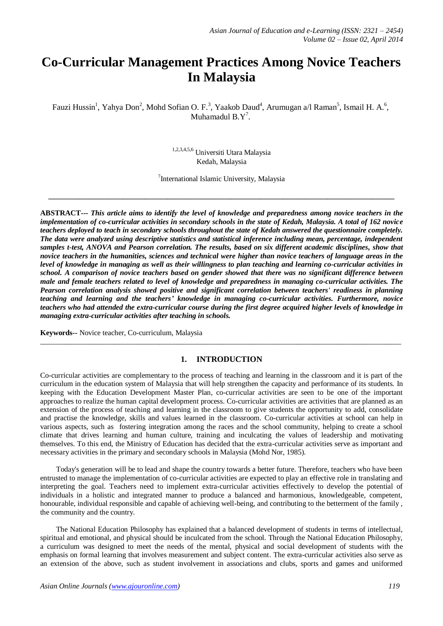# **Co-Curricular Management Practices Among Novice Teachers In Malaysia**

Fauzi Hussin<sup>1</sup>, Yahya Don<sup>2</sup>, Mohd Sofian O. F.<sup>3</sup>, Yaakob Daud<sup>4</sup>, Arumugan a/l Raman<sup>5</sup>, Ismail H. A.<sup>6</sup>, Muhamadul  $B.Y^7$ .

> 1,2,3,4,5,6 Universiti Utara Malaysia Kedah, Malaysia

<sup>7</sup>International Islamic University, Malaysia

**\_\_\_\_\_\_\_\_\_\_\_\_\_\_\_\_\_\_\_\_\_\_\_\_\_\_\_\_\_\_\_\_\_\_\_\_\_\_\_\_\_\_\_\_\_\_\_\_\_\_\_\_\_\_\_\_\_\_\_\_\_\_\_\_\_\_\_\_\_\_\_\_\_\_\_\_\_\_\_\_\_\_\_\_\_\_\_\_\_\_\_\_\_**

**ABSTRACT***--- This article aims to identify the level of knowledge and preparedness among novice teachers in the implementation of co-curricular activities in secondary schools in the state of Kedah, Malaysia. A total of 162 novice teachers deployed to teach in secondary schools throughout the state of Kedah answered the questionnaire completely. The data were analyzed using descriptive statistics and statistical inference including mean, percentage, independent samples t-test, ANOVA and Pearson correlation. The results, based on six different academic disciplines, show that novice teachers in the humanities, sciences and technical were higher than novice teachers of language areas in the level of knowledge in managing as well as their willingness to plan teaching and learning co-curricular activities in school. A comparison of novice teachers based on gender showed that there was no significant difference between male and female teachers related to level of knowledge and preparedness in managing co-curricular activities. The Pearson correlation analysis showed positive and significant correlation between teachers' readiness in planning teaching and learning and the teachers' knowledge in managing co-curricular activities. Furthermore, novice teachers who had attended the extra-curricular course during the first degree acquired higher levels of knowledge in managing extra-curricular activities after teaching in schools.*

**Keywords--** Novice teacher, Co-curriculum, Malaysia

## **1. INTRODUCTION**

 $\_$  ,  $\_$  ,  $\_$  ,  $\_$  ,  $\_$  ,  $\_$  ,  $\_$  ,  $\_$  ,  $\_$  ,  $\_$  ,  $\_$  ,  $\_$  ,  $\_$  ,  $\_$  ,  $\_$  ,  $\_$  ,  $\_$  ,  $\_$  ,  $\_$  ,  $\_$  ,  $\_$  ,  $\_$  ,  $\_$  ,  $\_$  ,  $\_$  ,  $\_$  ,  $\_$  ,  $\_$  ,  $\_$  ,  $\_$  ,  $\_$  ,  $\_$  ,  $\_$  ,  $\_$  ,  $\_$  ,  $\_$  ,  $\_$  ,

Co-curricular activities are complementary to the process of teaching and learning in the classroom and it is part of the curriculum in the education system of Malaysia that will help strengthen the capacity and performance of its students. In keeping with the Education Development Master Plan, co-curricular activities are seen to be one of the important approaches to realize the human capital development process. Co-curricular activities are activities that are planned as an extension of the process of teaching and learning in the classroom to give students the opportunity to add, consolidate and practise the knowledge, skills and values learned in the classroom. Co-curricular activities at school can help in various aspects, such as fostering integration among the races and the school community, helping to create a school climate that drives learning and human culture, training and inculcating the values of leadership and motivating themselves. To this end, the Ministry of Education has decided that the extra-curricular activities serve as important and necessary activities in the primary and secondary schools in Malaysia (Mohd Nor, 1985).

Today's generation will be to lead and shape the country towards a better future. Therefore, teachers who have been entrusted to manage the implementation of co-curricular activities are expected to play an effective role in translating and interpreting the goal. Teachers need to implement extra-curricular activities effectively to develop the potential of individuals in a holistic and integrated manner to produce a balanced and harmonious, knowledgeable, competent, honourable, individual responsible and capable of achieving well-being, and contributing to the betterment of the family , the community and the country.

The National Education Philosophy has explained that a balanced development of students in terms of intellectual, spiritual and emotional, and physical should be inculcated from the school. Through the National Education Philosophy, a curriculum was designed to meet the needs of the mental, physical and social development of students with the emphasis on formal learning that involves measurement and subject content. The extra-curricular activities also serve as an extension of the above, such as student involvement in associations and clubs, sports and games and uniformed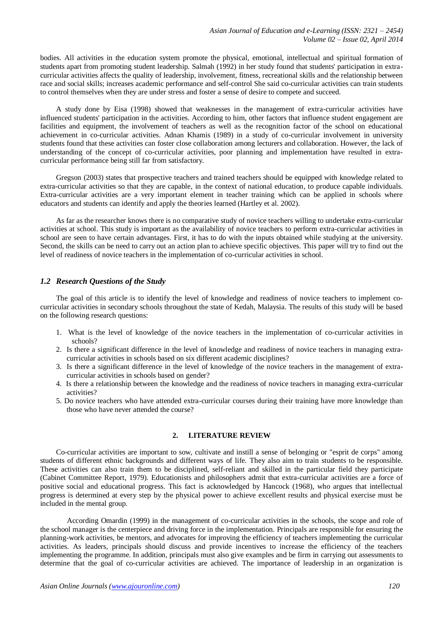bodies. All activities in the education system promote the physical, emotional, intellectual and spiritual formation of students apart from promoting student leadership. Salmah (1992) in her study found that students' participation in extracurricular activities affects the quality of leadership, involvement, fitness, recreational skills and the relationship between race and social skills; increases academic performance and self-control She said co-curricular activities can train students to control themselves when they are under stress and foster a sense of desire to compete and succeed.

A study done by Eisa (1998) showed that weaknesses in the management of extra-curricular activities have influenced students' participation in the activities. According to him, other factors that influence student engagement are facilities and equipment, the involvement of teachers as well as the recognition factor of the school on educational achievement in co-curricular activities. Adnan Khamis (1989) in a study of co-curricular involvement in university students found that these activities can foster close collaboration among lecturers and collaboration. However, the lack of understanding of the concept of co-curricular activities, poor planning and implementation have resulted in extracurricular performance being still far from satisfactory.

Gregson (2003) states that prospective teachers and trained teachers should be equipped with knowledge related to extra-curricular activities so that they are capable, in the context of national education, to produce capable individuals. Extra-curricular activities are a very important element in teacher training which can be applied in schools where educators and students can identify and apply the theories learned (Hartley et al. 2002).

As far as the researcher knows there is no comparative study of novice teachers willing to undertake extra-curricular activities at school. This study is important as the availability of novice teachers to perform extra-curricular activities in school are seen to have certain advantages. First, it has to do with the inputs obtained while studying at the university. Second, the skills can be need to carry out an action plan to achieve specific objectives. This paper will try to find out the level of readiness of novice teachers in the implementation of co-curricular activities in school.

## *1.2 Research Questions of the Study*

The goal of this article is to identify the level of knowledge and readiness of novice teachers to implement cocurricular activities in secondary schools throughout the state of Kedah, Malaysia. The results of this study will be based on the following research questions:

- 1. What is the level of knowledge of the novice teachers in the implementation of co-curricular activities in schools?
- 2. Is there a significant difference in the level of knowledge and readiness of novice teachers in managing extracurricular activities in schools based on six different academic disciplines?
- 3. Is there a significant difference in the level of knowledge of the novice teachers in the management of extracurricular activities in schools based on gender?
- 4. Is there a relationship between the knowledge and the readiness of novice teachers in managing extra-curricular activities?
- 5. Do novice teachers who have attended extra-curricular courses during their training have more knowledge than those who have never attended the course?

# **2. LITERATURE REVIEW**

Co-curricular activities are important to sow, cultivate and instill a sense of belonging or "esprit de corps" among students of different ethnic backgrounds and different ways of life. They also aim to train students to be responsible. These activities can also train them to be disciplined, self-reliant and skilled in the particular field they participate (Cabinet Committee Report, 1979). Educationists and philosophers admit that extra-curricular activities are a force of positive social and educational progress. This fact is acknowledged by Hancock (1968), who argues that intellectual progress is determined at every step by the physical power to achieve excellent results and physical exercise must be included in the mental group.

According Omardin (1999) in the management of co-curricular activities in the schools, the scope and role of the school manager is the centerpiece and driving force in the implementation. Principals are responsible for ensuring the planning-work activities, be mentors, and advocates for improving the efficiency of teachers implementing the curricular activities. As leaders, principals should discuss and provide incentives to increase the efficiency of the teachers implementing the programme. In addition, principals must also give examples and be firm in carrying out assessments to determine that the goal of co-curricular activities are achieved. The importance of leadership in an organization is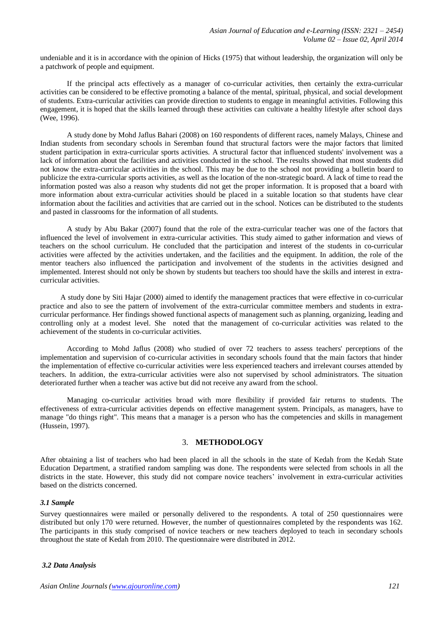undeniable and it is in accordance with the opinion of Hicks (1975) that without leadership, the organization will only be a patchwork of people and equipment.

If the principal acts effectively as a manager of co-curricular activities, then certainly the extra-curricular activities can be considered to be effective promoting a balance of the mental, spiritual, physical, and social development of students. Extra-curricular activities can provide direction to students to engage in meaningful activities. Following this engagement, it is hoped that the skills learned through these activities can cultivate a healthy lifestyle after school days (Wee, 1996).

A study done by Mohd Jaflus Bahari (2008) on 160 respondents of different races, namely Malays, Chinese and Indian students from secondary schools in Seremban found that structural factors were the major factors that limited student participation in extra-curricular sports activities. A structural factor that influenced students' involvement was a lack of information about the facilities and activities conducted in the school. The results showed that most students did not know the extra-curricular activities in the school. This may be due to the school not providing a bulletin board to publicize the extra-curricular sports activities, as well as the location of the non-strategic board. A lack of time to read the information posted was also a reason why students did not get the proper information. It is proposed that a board with more information about extra-curricular activities should be placed in a suitable location so that students have clear information about the facilities and activities that are carried out in the school. Notices can be distributed to the students and pasted in classrooms for the information of all students.

A study by Abu Bakar (2007) found that the role of the extra-curricular teacher was one of the factors that influenced the level of involvement in extra-curricular activities. This study aimed to gather information and views of teachers on the school curriculum. He concluded that the participation and interest of the students in co-curricular activities were affected by the activities undertaken, and the facilities and the equipment. In addition, the role of the mentor teachers also influenced the participation and involvement of the students in the activities designed and implemented. Interest should not only be shown by students but teachers too should have the skills and interest in extracurricular activities.

 A study done by Siti Hajar (2000) aimed to identify the management practices that were effective in co-curricular practice and also to see the pattern of involvement of the extra-curricular committee members and students in extracurricular performance. Her findings showed functional aspects of management such as planning, organizing, leading and controlling only at a modest level. She noted that the management of co-curricular activities was related to the achievement of the students in co-curricular activities.

According to Mohd Jaflus (2008) who studied of over 72 teachers to assess teachers' perceptions of the implementation and supervision of co-curricular activities in secondary schools found that the main factors that hinder the implementation of effective co-curricular activities were less experienced teachers and irrelevant courses attended by teachers. In addition, the extra-curricular activities were also not supervised by school administrators. The situation deteriorated further when a teacher was active but did not receive any award from the school.

Managing co-curricular activities broad with more flexibility if provided fair returns to students. The effectiveness of extra-curricular activities depends on effective management system. Principals, as managers, have to manage "do things right". This means that a manager is a person who has the competencies and skills in management (Hussein, 1997).

# 3. **METHODOLOGY**

After obtaining a list of teachers who had been placed in all the schools in the state of Kedah from the Kedah State Education Department, a stratified random sampling was done. The respondents were selected from schools in all the districts in the state. However, this study did not compare novice teachers' involvement in extra-curricular activities based on the districts concerned.

#### *3.1 Sample*

Survey questionnaires were mailed or personally delivered to the respondents. A total of 250 questionnaires were distributed but only 170 were returned. However, the number of questionnaires completed by the respondents was 162. The participants in this study comprised of novice teachers or new teachers deployed to teach in secondary schools throughout the state of Kedah from 2010. The questionnaire were distributed in 2012.

## *3.2 Data Analysis*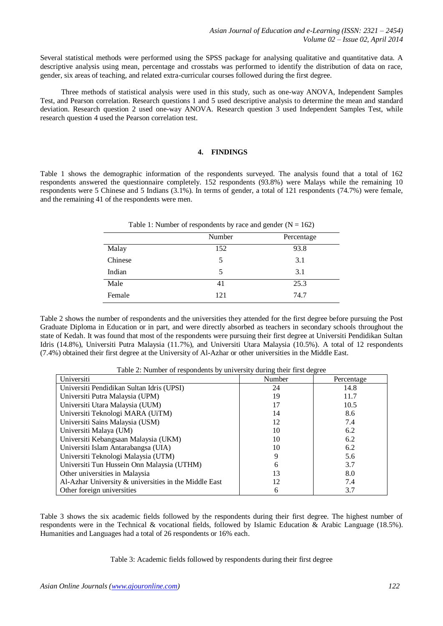Several statistical methods were performed using the SPSS package for analysing qualitative and quantitative data. A descriptive analysis using mean, percentage and crosstabs was performed to identify the distribution of data on race, gender, six areas of teaching, and related extra-curricular courses followed during the first degree.

Three methods of statistical analysis were used in this study, such as one-way ANOVA, Independent Samples Test, and Pearson correlation. Research questions 1 and 5 used descriptive analysis to determine the mean and standard deviation. Research question 2 used one-way ANOVA. Research question 3 used Independent Samples Test, while research question 4 used the Pearson correlation test.

#### **4. FINDINGS**

Table 1 shows the demographic information of the respondents surveyed. The analysis found that a total of 162 respondents answered the questionnaire completely. 152 respondents (93.8%) were Malays while the remaining 10 respondents were 5 Chinese and 5 Indians (3.1%). In terms of gender, a total of 121 respondents (74.7%) were female, and the remaining 41 of the respondents were men.

Table 1: Number of respondents by race and gender  $(N - 162)$ 

| rative 1. Fourther of responsents by race and genuer $(11 - 102)$ |        |            |  |
|-------------------------------------------------------------------|--------|------------|--|
|                                                                   | Number | Percentage |  |
| Malay                                                             | 152    | 93.8       |  |
| Chinese                                                           |        | 3.1        |  |
| Indian                                                            |        | 3.1        |  |
| Male                                                              | 41     | 25.3       |  |
| Female                                                            | 121    | 74.7       |  |

Table 2 shows the number of respondents and the universities they attended for the first degree before pursuing the Post Graduate Diploma in Education or in part, and were directly absorbed as teachers in secondary schools throughout the state of Kedah. It was found that most of the respondents were pursuing their first degree at Universiti Pendidikan Sultan Idris (14.8%), Universiti Putra Malaysia (11.7%), and Universiti Utara Malaysia (10.5%). A total of 12 respondents (7.4%) obtained their first degree at the University of Al-Azhar or other universities in the Middle East.

| Table 2: Number of respondents by university during their first degree |  |  |  |  |  |  |  |  |  |  |  |
|------------------------------------------------------------------------|--|--|--|--|--|--|--|--|--|--|--|
|------------------------------------------------------------------------|--|--|--|--|--|--|--|--|--|--|--|

| Universiti                                            | Number | Percentage |
|-------------------------------------------------------|--------|------------|
| Universiti Pendidikan Sultan Idris (UPSI)             | 24     | 14.8       |
| Universiti Putra Malaysia (UPM)                       | 19     | 11.7       |
| Universiti Utara Malaysia (UUM)                       | 17     | 10.5       |
| Universiti Teknologi MARA (UiTM)                      | 14     | 8.6        |
| Universiti Sains Malaysia (USM)                       | 12     | 7.4        |
| Universiti Malaya (UM)                                | 10     | 6.2        |
| Universiti Kebangsaan Malaysia (UKM)                  | 10     | 6.2        |
| Universiti Islam Antarabangsa (UIA)                   | 10     | 6.2        |
| Universiti Teknologi Malaysia (UTM)                   | 9      | 5.6        |
| Universiti Tun Hussein Onn Malaysia (UTHM)            | 6      | 3.7        |
| Other universities in Malaysia                        | 13     | 8.0        |
| Al-Azhar University & universities in the Middle East | 12     | 7.4        |
| Other foreign universities                            | 6      | 3.7        |

Table 3 shows the six academic fields followed by the respondents during their first degree. The highest number of respondents were in the Technical & vocational fields, followed by Islamic Education & Arabic Language (18.5%). Humanities and Languages had a total of 26 respondents or 16% each.

Table 3: Academic fields followed by respondents during their first degree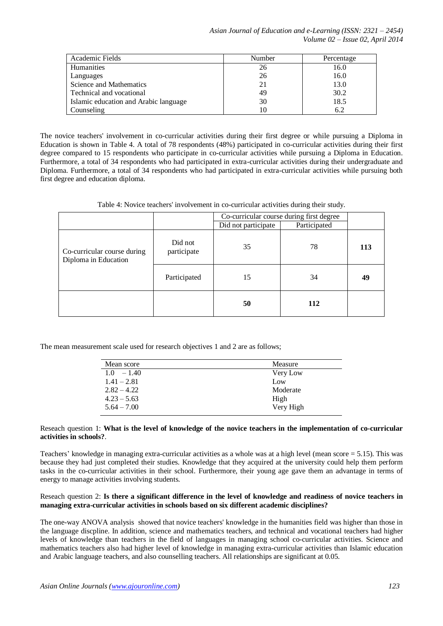| Academic Fields                       | Number | Percentage |
|---------------------------------------|--------|------------|
| <b>Humanities</b>                     | 26     | 16.0       |
| Languages                             | 26     | 16.0       |
| Science and Mathematics               | 21     | 13.0       |
| Technical and vocational              | 49     | 30.2       |
| Islamic education and Arabic language | 30     | 18.5       |
| Counseling                            |        | 6.2        |

The novice teachers' involvement in co-curricular activities during their first degree or while pursuing a Diploma in Education is shown in Table 4. A total of 78 respondents (48%) participated in co-curricular activities during their first degree compared to 15 respondents who participate in co-curricular activities while pursuing a Diploma in Education. Furthermore, a total of 34 respondents who had participated in extra-curricular activities during their undergraduate and Diploma. Furthermore, a total of 34 respondents who had participated in extra-curricular activities while pursuing both first degree and education diploma.

Table 4: Novice teachers' involvement in co-curricular activities during their study.

|                                                     |                        | Co-curricular course during first degree |              |     |
|-----------------------------------------------------|------------------------|------------------------------------------|--------------|-----|
|                                                     |                        | Did not participate                      | Participated |     |
| Co-curricular course during<br>Diploma in Education | Did not<br>participate | 35                                       | 78           | 113 |
|                                                     | Participated           | 15                                       | 34           | 49  |
|                                                     |                        | 50                                       | 112          |     |

The mean measurement scale used for research objectives 1 and 2 are as follows;

| Mean score    | Measure   |
|---------------|-----------|
| $1.0 - 1.40$  | Very Low  |
| $1.41 - 2.81$ | Low       |
| $2.82 - 4.22$ | Moderate  |
| $4.23 - 5.63$ | High      |
| $5.64 - 7.00$ | Very High |

## Reseach question 1: **What is the level of knowledge of the novice teachers in the implementation of co-curricular activities in schools?**.

Teachers' knowledge in managing extra-curricular activities as a whole was at a high level (mean score = 5.15). This was because they had just completed their studies. Knowledge that they acquired at the university could help them perform tasks in the co-curricular activities in their school. Furthermore, their young age gave them an advantage in terms of energy to manage activities involving students.

# Reseach question 2: **Is there a significant difference in the level of knowledge and readiness of novice teachers in managing extra-curricular activities in schools based on six different academic disciplines?**

The one-way ANOVA analysis showed that novice teachers' knowledge in the humanities field was higher than those in the language discpline. In addition, science and mathematics teachers, and technical and vocational teachers had higher levels of knowledge than teachers in the field of languages in managing school co-curricular activities. Science and mathematics teachers also had higher level of knowledge in managing extra-curricular activities than Islamic education and Arabic language teachers, and also counselling teachers. All relationships are significant at 0.05.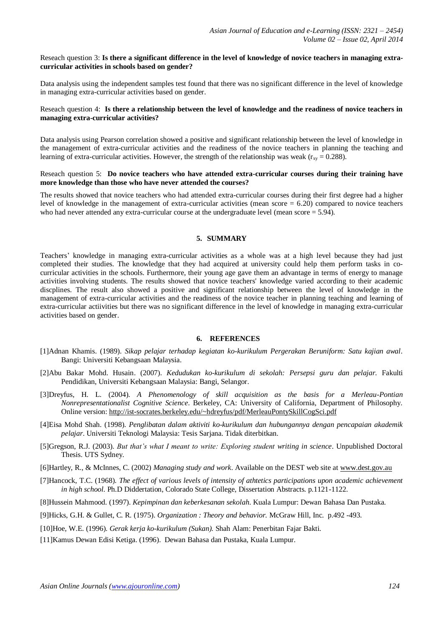### Reseach question 3: **Is there a significant difference in the level of knowledge of novice teachers in managing extracurricular activities in schools based on gender?**

Data analysis using the independent samples test found that there was no significant difference in the level of knowledge in managing extra-curricular activities based on gender.

## Reseach question 4: **Is there a relationship between the level of knowledge and the readiness of novice teachers in managing extra-curricular activities?**

Data analysis using Pearson correlation showed a positive and significant relationship between the level of knowledge in the management of extra-curricular activities and the readiness of the novice teachers in planning the teaching and learning of extra-curricular activities. However, the strength of the relationship was weak ( $r_{xy} = 0.288$ ).

#### Reseach question 5: **Do novice teachers who have attended extra-curricular courses during their training have more knowledge than those who have never attended the courses?**

The results showed that novice teachers who had attended extra-curricular courses during their first degree had a higher level of knowledge in the management of extra-curricular activities (mean score  $= 6.20$ ) compared to novice teachers who had never attended any extra-curricular course at the undergraduate level (mean score  $= 5.94$ ).

### **5. SUMMARY**

Teachers' knowledge in managing extra-curricular activities as a whole was at a high level because they had just completed their studies. The knowledge that they had acquired at university could help them perform tasks in cocurricular activities in the schools. Furthermore, their young age gave them an advantage in terms of energy to manage activities involving students. The results showed that novice teachers' knowledge varied according to their academic discplines. The result also showed a positive and significant relationship between the level of knowledge in the management of extra-curricular activities and the readiness of the novice teacher in planning teaching and learning of extra-curricular actiivities but there was no significant difference in the level of knowledge in managing extra-curricular activities based on gender.

## **6. REFERENCES**

- [1]Adnan Khamis. (1989). *Sikap pelajar terhadap kegiatan ko-kurikulum Pergerakan Beruniform: Satu kajian awal*. Bangi: Universiti Kebangsaan Malaysia.
- [2]Abu Bakar Mohd. Husain. (2007). *Kedudukan ko-kurikulum di sekolah: Persepsi guru dan pelajar.* Fakulti Pendidikan, Universiti Kebangsaan Malaysia: Bangi, Selangor.
- [3]Dreyfus, H. L. (2004). *A Phenomenology of skill acquisition as the basis for a Merleau-Pontian Nonrepresentationalist Cognitive Science*. Berkeley, CA: University of California, Department of Philosophy. Online version:<http://ist-socrates.berkeley.edu/~hdreyfus/pdf/MerleauPontySkillCogSci.pdf>
- [4]Eisa Mohd Shah. (1998). *Penglibatan dalam aktiviti ko-kurikulum dan hubungannya dengan pencapaian akademik pelajar*. Universiti Teknologi Malaysia: Tesis Sarjana. Tidak diterbitkan.
- [5]Gregson, R.J. (2003). *But that's what I meant to write: Exploring student writing in science*. Unpublished Doctoral Thesis. UTS Sydney.
- [6]Hartley, R., & McInnes, C. (2002) *Managing study and work*. Available on the DEST web site at [www.dest.gov.au](http://www.dest.gov.au/)
- [7]Hancock, T.C. (1968). *The effect of various levels of intensity of athtetics participations upon academic achievement in high school*. Ph.D Diddertation, Colorado State College, Dissertation Abstracts. p.1121-1122.
- [8]Hussein Mahmood. (1997). *Kepimpinan dan keberkesanan sekolah*. Kuala Lumpur: Dewan Bahasa Dan Pustaka.
- [9]Hicks, G.H. & Gullet, C*.* R. (1975). *Organization : Theory and behavior.* McGraw Hill, Inc. p.492 -493.
- [10]Hoe, W.E. (1996). *Gerak kerja ko-kurikulum (Sukan).* Shah Alam: Penerbitan Fajar Bakti.
- [11]Kamus Dewan Edisi Ketiga. (1996). Dewan Bahasa dan Pustaka, Kuala Lumpur.